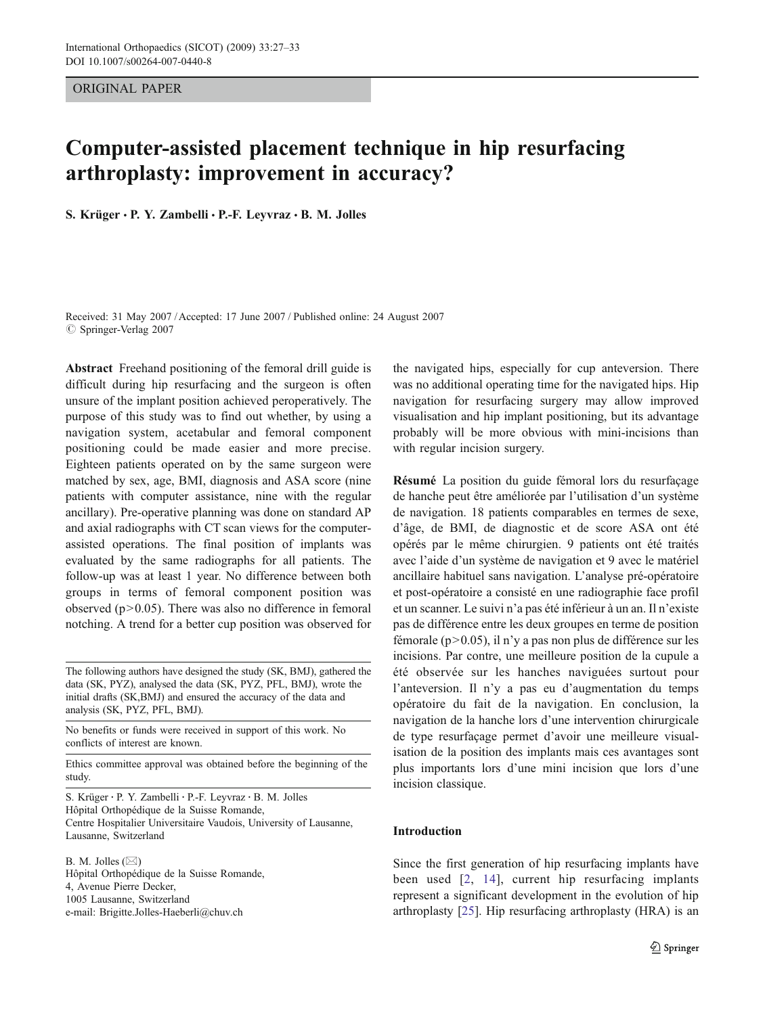ORIGINAL PAPER

# Computer-assisted placement technique in hip resurfacing arthroplasty: improvement in accuracy?

S. Krüger · P. Y. Zambelli · P.-F. Leyvraz · B. M. Jolles

Received: 31 May 2007 /Accepted: 17 June 2007 / Published online: 24 August 2007  $\oslash$  Springer-Verlag 2007

Abstract Freehand positioning of the femoral drill guide is difficult during hip resurfacing and the surgeon is often unsure of the implant position achieved peroperatively. The purpose of this study was to find out whether, by using a navigation system, acetabular and femoral component positioning could be made easier and more precise. Eighteen patients operated on by the same surgeon were matched by sex, age, BMI, diagnosis and ASA score (nine patients with computer assistance, nine with the regular ancillary). Pre-operative planning was done on standard AP and axial radiographs with CT scan views for the computerassisted operations. The final position of implants was evaluated by the same radiographs for all patients. The follow-up was at least 1 year. No difference between both groups in terms of femoral component position was observed  $(p>0.05)$ . There was also no difference in femoral notching. A trend for a better cup position was observed for

The following authors have designed the study (SK, BMJ), gathered the data (SK, PYZ), analysed the data (SK, PYZ, PFL, BMJ), wrote the initial drafts (SK,BMJ) and ensured the accuracy of the data and analysis (SK, PYZ, PFL, BMJ).

No benefits or funds were received in support of this work. No conflicts of interest are known.

Ethics committee approval was obtained before the beginning of the study.

S. Krüger : P. Y. Zambelli : P.-F. Leyvraz : B. M. Jolles Hôpital Orthopédique de la Suisse Romande, Centre Hospitalier Universitaire Vaudois, University of Lausanne, Lausanne, Switzerland

B. M. Jolles (*\**) Hôpital Orthopédique de la Suisse Romande, 4, Avenue Pierre Decker, 1005 Lausanne, Switzerland e-mail: Brigitte.Jolles-Haeberli@chuv.ch

the navigated hips, especially for cup anteversion. There was no additional operating time for the navigated hips. Hip navigation for resurfacing surgery may allow improved visualisation and hip implant positioning, but its advantage probably will be more obvious with mini-incisions than with regular incision surgery.

Résumé La position du guide fémoral lors du resurfaçage de hanche peut être améliorée par l'utilisation d'un système de navigation. 18 patients comparables en termes de sexe, d'âge, de BMI, de diagnostic et de score ASA ont été opérés par le même chirurgien. 9 patients ont été traités avec l'aide d'un système de navigation et 9 avec le matériel ancillaire habituel sans navigation. L'analyse pré-opératoire et post-opératoire a consisté en une radiographie face profil et un scanner. Le suivi n'a pas été inférieur à un an. Il n'existe pas de différence entre les deux groupes en terme de position fémorale (p>0.05), il n'y a pas non plus de différence sur les incisions. Par contre, une meilleure position de la cupule a été observée sur les hanches naviguées surtout pour l'anteversion. Il n'y a pas eu d'augmentation du temps opératoire du fait de la navigation. En conclusion, la navigation de la hanche lors d'une intervention chirurgicale de type resurfaçage permet d'avoir une meilleure visualisation de la position des implants mais ces avantages sont plus importants lors d'une mini incision que lors d'une incision classique.

## Introduction

Since the first generation of hip resurfacing implants have been used [\[2,](#page-5-0) [14](#page-5-0)], current hip resurfacing implants represent a significant development in the evolution of hip arthroplasty [[25\]](#page-6-0). Hip resurfacing arthroplasty (HRA) is an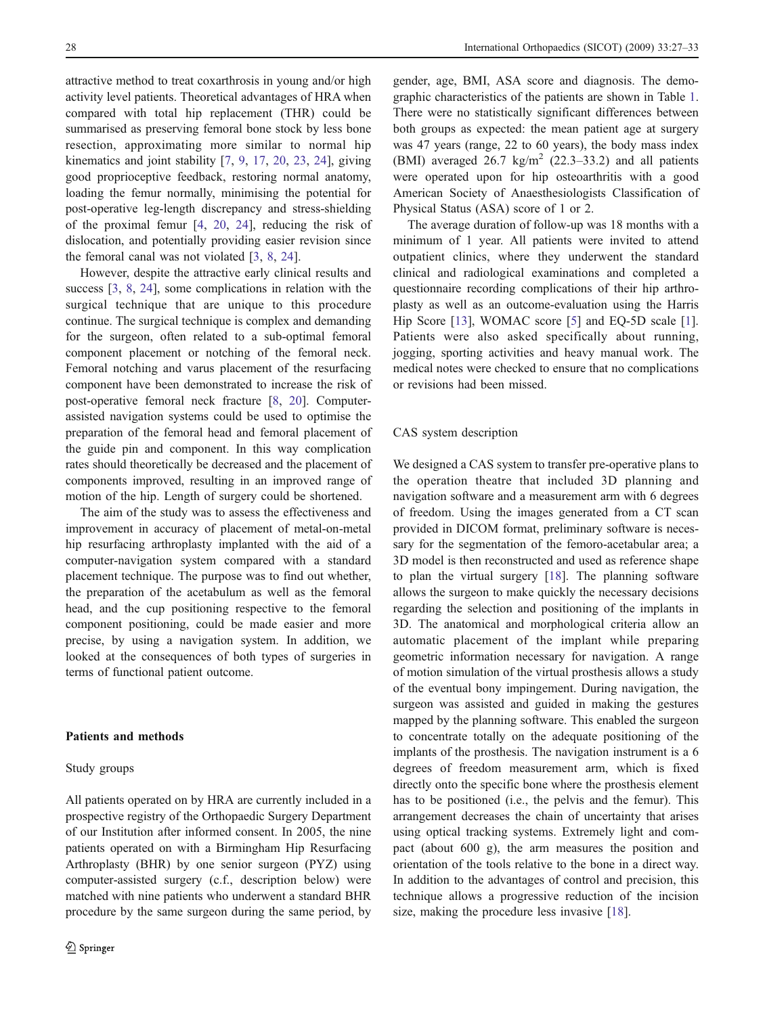attractive method to treat coxarthrosis in young and/or high activity level patients. Theoretical advantages of HRA when compared with total hip replacement (THR) could be summarised as preserving femoral bone stock by less bone resection, approximating more similar to normal hip kinematics and joint stability [[7,](#page-5-0) [9,](#page-5-0) [17,](#page-5-0) [20,](#page-6-0) [23,](#page-6-0) [24\]](#page-6-0), giving good proprioceptive feedback, restoring normal anatomy, loading the femur normally, minimising the potential for post-operative leg-length discrepancy and stress-shielding of the proximal femur [[4,](#page-5-0) [20](#page-6-0), [24\]](#page-6-0), reducing the risk of dislocation, and potentially providing easier revision since the femoral canal was not violated [\[3](#page-5-0), [8](#page-5-0), [24\]](#page-6-0).

However, despite the attractive early clinical results and success [\[3](#page-5-0), [8](#page-5-0), [24](#page-6-0)], some complications in relation with the surgical technique that are unique to this procedure continue. The surgical technique is complex and demanding for the surgeon, often related to a sub-optimal femoral component placement or notching of the femoral neck. Femoral notching and varus placement of the resurfacing component have been demonstrated to increase the risk of post-operative femoral neck fracture [\[8](#page-5-0), [20](#page-6-0)]. Computerassisted navigation systems could be used to optimise the preparation of the femoral head and femoral placement of the guide pin and component. In this way complication rates should theoretically be decreased and the placement of components improved, resulting in an improved range of motion of the hip. Length of surgery could be shortened.

The aim of the study was to assess the effectiveness and improvement in accuracy of placement of metal-on-metal hip resurfacing arthroplasty implanted with the aid of a computer-navigation system compared with a standard placement technique. The purpose was to find out whether, the preparation of the acetabulum as well as the femoral head, and the cup positioning respective to the femoral component positioning, could be made easier and more precise, by using a navigation system. In addition, we looked at the consequences of both types of surgeries in terms of functional patient outcome.

## Patients and methods

## Study groups

All patients operated on by HRA are currently included in a prospective registry of the Orthopaedic Surgery Department of our Institution after informed consent. In 2005, the nine patients operated on with a Birmingham Hip Resurfacing Arthroplasty (BHR) by one senior surgeon (PYZ) using computer-assisted surgery (c.f., description below) were matched with nine patients who underwent a standard BHR procedure by the same surgeon during the same period, by gender, age, BMI, ASA score and diagnosis. The demographic characteristics of the patients are shown in Table [1.](#page-2-0) There were no statistically significant differences between both groups as expected: the mean patient age at surgery was 47 years (range, 22 to 60 years), the body mass index (BMI) averaged  $26.7 \text{ kg/m}^2$  (22.3–33.2) and all patients were operated upon for hip osteoarthritis with a good American Society of Anaesthesiologists Classification of Physical Status (ASA) score of 1 or 2.

The average duration of follow-up was 18 months with a minimum of 1 year. All patients were invited to attend outpatient clinics, where they underwent the standard clinical and radiological examinations and completed a questionnaire recording complications of their hip arthroplasty as well as an outcome-evaluation using the Harris Hip Score [\[13](#page-5-0)], WOMAC score [\[5](#page-5-0)] and EQ-5D scale [[1\]](#page-5-0). Patients were also asked specifically about running, jogging, sporting activities and heavy manual work. The medical notes were checked to ensure that no complications or revisions had been missed.

## CAS system description

We designed a CAS system to transfer pre-operative plans to the operation theatre that included 3D planning and navigation software and a measurement arm with 6 degrees of freedom. Using the images generated from a CT scan provided in DICOM format, preliminary software is necessary for the segmentation of the femoro-acetabular area; a 3D model is then reconstructed and used as reference shape to plan the virtual surgery [\[18](#page-5-0)]. The planning software allows the surgeon to make quickly the necessary decisions regarding the selection and positioning of the implants in 3D. The anatomical and morphological criteria allow an automatic placement of the implant while preparing geometric information necessary for navigation. A range of motion simulation of the virtual prosthesis allows a study of the eventual bony impingement. During navigation, the surgeon was assisted and guided in making the gestures mapped by the planning software. This enabled the surgeon to concentrate totally on the adequate positioning of the implants of the prosthesis. The navigation instrument is a 6 degrees of freedom measurement arm, which is fixed directly onto the specific bone where the prosthesis element has to be positioned (i.e., the pelvis and the femur). This arrangement decreases the chain of uncertainty that arises using optical tracking systems. Extremely light and compact (about 600 g), the arm measures the position and orientation of the tools relative to the bone in a direct way. In addition to the advantages of control and precision, this technique allows a progressive reduction of the incision size, making the procedure less invasive [[18\]](#page-5-0).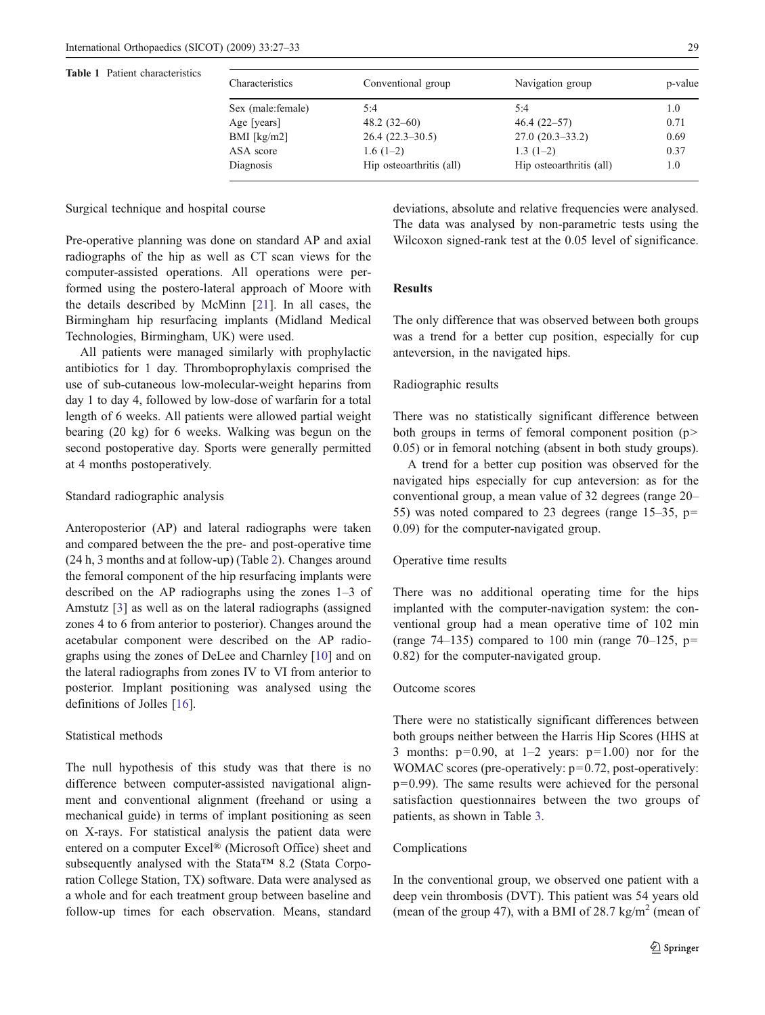<span id="page-2-0"></span>Table 1 Patient characteristics

| Characteristics    | Conventional group       | Navigation group         | p-value |  |
|--------------------|--------------------------|--------------------------|---------|--|
| Sex (male: female) | 5:4                      | 5:4                      | 1.0     |  |
| Age [years]        | $48.2(32-60)$            | $46.4(22-57)$            | 0.71    |  |
| BMI [kg/m2]        | $26.4(22.3-30.5)$        | $27.0(20.3-33.2)$        | 0.69    |  |
| ASA score          | $1.6(1-2)$               | $1.3(1-2)$               | 0.37    |  |
| Diagnosis          | Hip osteoarthritis (all) | Hip osteoarthritis (all) | 1.0     |  |

#### Surgical technique and hospital course

Pre-operative planning was done on standard AP and axial radiographs of the hip as well as CT scan views for the computer-assisted operations. All operations were performed using the postero-lateral approach of Moore with the details described by McMinn [[21\]](#page-6-0). In all cases, the Birmingham hip resurfacing implants (Midland Medical Technologies, Birmingham, UK) were used.

All patients were managed similarly with prophylactic antibiotics for 1 day. Thromboprophylaxis comprised the use of sub-cutaneous low-molecular-weight heparins from day 1 to day 4, followed by low-dose of warfarin for a total length of 6 weeks. All patients were allowed partial weight bearing (20 kg) for 6 weeks. Walking was begun on the second postoperative day. Sports were generally permitted at 4 months postoperatively.

#### Standard radiographic analysis

Anteroposterior (AP) and lateral radiographs were taken and compared between the the pre- and post-operative time (24 h, 3 months and at follow-up) (Table [2](#page-3-0)). Changes around the femoral component of the hip resurfacing implants were described on the AP radiographs using the zones 1–3 of Amstutz [[3\]](#page-5-0) as well as on the lateral radiographs (assigned zones 4 to 6 from anterior to posterior). Changes around the acetabular component were described on the AP radiographs using the zones of DeLee and Charnley [\[10](#page-5-0)] and on the lateral radiographs from zones IV to VI from anterior to posterior. Implant positioning was analysed using the definitions of Jolles [\[16](#page-5-0)].

## Statistical methods

The null hypothesis of this study was that there is no difference between computer-assisted navigational alignment and conventional alignment (freehand or using a mechanical guide) in terms of implant positioning as seen on X-rays. For statistical analysis the patient data were entered on a computer Excel® (Microsoft Office) sheet and subsequently analysed with the Stata*™* 8.2 (Stata Corporation College Station, TX) software. Data were analysed as a whole and for each treatment group between baseline and follow-up times for each observation. Means, standard deviations, absolute and relative frequencies were analysed. The data was analysed by non-parametric tests using the Wilcoxon signed-rank test at the 0.05 level of significance.

## Results

The only difference that was observed between both groups was a trend for a better cup position, especially for cup anteversion, in the navigated hips.

#### Radiographic results

There was no statistically significant difference between both groups in terms of femoral component position (p> 0.05) or in femoral notching (absent in both study groups).

A trend for a better cup position was observed for the navigated hips especially for cup anteversion: as for the conventional group, a mean value of 32 degrees (range 20– 55) was noted compared to 23 degrees (range  $15-35$ , p= 0.09) for the computer-navigated group.

#### Operative time results

There was no additional operating time for the hips implanted with the computer-navigation system: the conventional group had a mean operative time of 102 min (range 74–135) compared to 100 min (range 70–125,  $p=$ 0.82) for the computer-navigated group.

#### Outcome scores

There were no statistically significant differences between both groups neither between the Harris Hip Scores (HHS at 3 months:  $p=0.90$ , at  $1-2$  years:  $p=1.00$ ) nor for the WOMAC scores (pre-operatively:  $p=0.72$ , post-operatively: p=0.99). The same results were achieved for the personal satisfaction questionnaires between the two groups of patients, as shown in Table [3.](#page-3-0)

### Complications

In the conventional group, we observed one patient with a deep vein thrombosis (DVT). This patient was 54 years old (mean of the group 47), with a BMI of  $28.7 \text{ kg/m}^2$  (mean of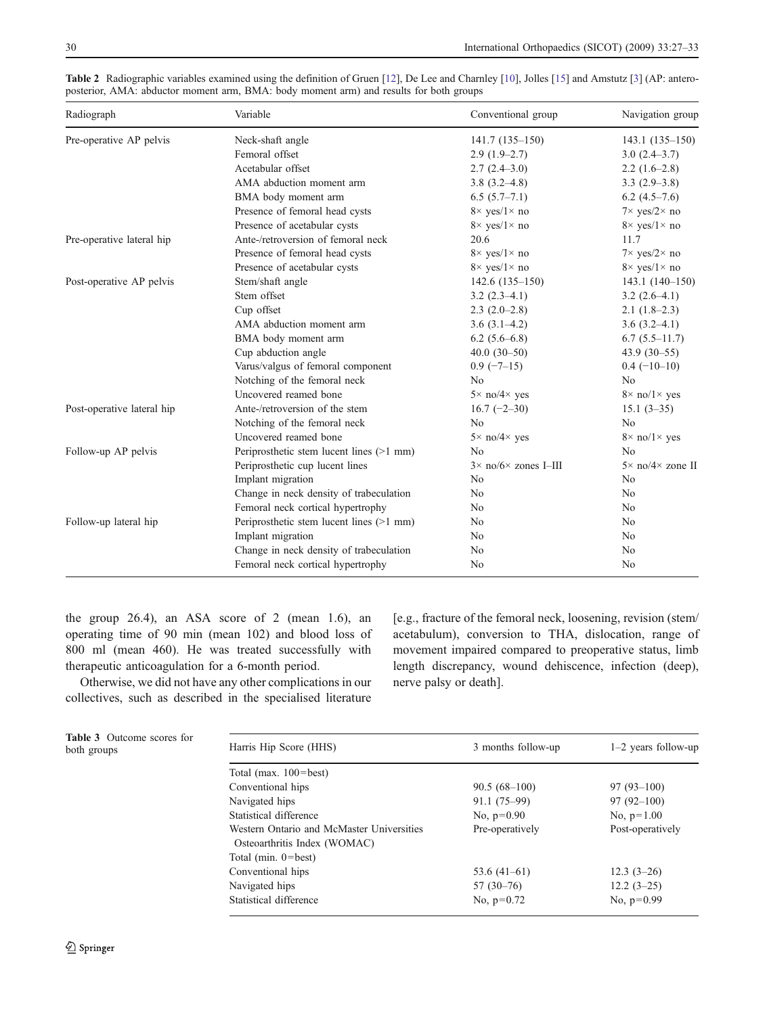| Radiograph                 | Variable                                   | Conventional group                       | Navigation group                             |
|----------------------------|--------------------------------------------|------------------------------------------|----------------------------------------------|
| Pre-operative AP pelvis    | Neck-shaft angle                           | $141.7(135-150)$                         | $143.1(135-150)$                             |
|                            | Femoral offset                             | $2.9(1.9-2.7)$                           | $3.0(2.4 - 3.7)$                             |
|                            | Acetabular offset                          | $2.7(2.4-3.0)$                           | $2.2(1.6-2.8)$                               |
|                            | AMA abduction moment arm                   | $3.8(3.2 - 4.8)$                         | $3.3(2.9-3.8)$                               |
|                            | BMA body moment arm                        | $6.5(5.7-7.1)$                           | $6.2(4.5-7.6)$                               |
|                            | Presence of femoral head cysts             | $8 \times \text{yes}/1 \times \text{no}$ | $7\times$ yes/2 $\times$ no                  |
|                            | Presence of acetabular cysts               | $8 \times \text{yes}/1 \times \text{no}$ | $8 \times \text{yes}/1 \times \text{no}$     |
| Pre-operative lateral hip  | Ante-/retroversion of femoral neck         | 20.6                                     | 11.7                                         |
|                            | Presence of femoral head cysts             | $8 \times \text{yes}/1 \times \text{no}$ | $7\times$ yes/2 $\times$ no                  |
|                            | Presence of acetabular cysts               | $8 \times \text{yes}/1 \times \text{no}$ | $8 \times \text{yes}/1 \times \text{no}$     |
| Post-operative AP pelvis   | Stem/shaft angle                           | $142.6(135-150)$                         | 143.1 (140-150)                              |
|                            | Stem offset                                | $3.2(2.3-4.1)$                           | $3.2(2.6-4.1)$                               |
|                            | Cup offset                                 | $2.3(2.0-2.8)$                           | $2.1(1.8-2.3)$                               |
|                            | AMA abduction moment arm                   | $3.6(3.1-4.2)$                           | $3.6(3.2-4.1)$                               |
|                            | BMA body moment arm                        | $6.2(5.6-6.8)$                           | $6.7(5.5-11.7)$                              |
|                            | Cup abduction angle                        | $40.0(30-50)$                            | $43.9(30-55)$                                |
|                            | Varus/valgus of femoral component          | $0.9(-7-15)$                             | $0.4(-10-10)$                                |
|                            | Notching of the femoral neck               | N <sub>0</sub>                           | N <sub>0</sub>                               |
|                            | Uncovered reamed bone                      | $5 \times n_0/4 \times \text{yes}$       | $8 \times \text{no}/1 \times \text{yes}$     |
| Post-operative lateral hip | Ante-/retroversion of the stem             | $16.7 (-2-30)$                           | $15.1(3-35)$                                 |
|                            | Notching of the femoral neck               | N <sub>0</sub>                           | No                                           |
|                            | Uncovered reamed bone                      | $5 \times n_0/4 \times \text{yes}$       | $8 \times no/1 \times yes$                   |
| Follow-up AP pelvis        | Periprosthetic stem lucent lines $(>1$ mm) | N <sub>0</sub>                           | N <sub>0</sub>                               |
|                            | Periprosthetic cup lucent lines            | $3 \times n_0/6 \times z$ zones I-III    | $5 \times \text{no}/4 \times \text{zone}$ II |
|                            | Implant migration                          | N <sub>0</sub>                           | N <sub>0</sub>                               |
|                            | Change in neck density of trabeculation    | No                                       | No                                           |
|                            | Femoral neck cortical hypertrophy          | N <sub>0</sub>                           | N <sub>0</sub>                               |
| Follow-up lateral hip      | Periprosthetic stem lucent lines (>1 mm)   | No                                       | No                                           |
|                            | Implant migration                          | No                                       | No                                           |
|                            | Change in neck density of trabeculation    | No.                                      | No                                           |
|                            | Femoral neck cortical hypertrophy          | No                                       | No                                           |

<span id="page-3-0"></span>Table 2 Radiographic variables examined using the definition of Gruen [\[12\]](#page-5-0), De Lee and Charnley [[10](#page-5-0)], Jolles [\[15\]](#page-5-0) and Amstutz [\[3\]](#page-5-0) (AP: anteroposterior, AMA: abductor moment arm, BMA: body moment arm) and results for both groups

the group 26.4), an ASA score of 2 (mean 1.6), an operating time of 90 min (mean 102) and blood loss of 800 ml (mean 460). He was treated successfully with therapeutic anticoagulation for a 6-month period.

[e.g., fracture of the femoral neck, loosening, revision (stem/ acetabulum), conversion to THA, dislocation, range of movement impaired compared to preoperative status, limb length discrepancy, wound dehiscence, infection (deep), nerve palsy or death].

Otherwise, we did not have any other complications in our collectives, such as described in the specialised literature

| Harris Hip Score (HHS)                                                    | 3 months follow-up | $1-2$ years follow-up |  |
|---------------------------------------------------------------------------|--------------------|-----------------------|--|
| Total (max. $100 = best$ )                                                |                    |                       |  |
| Conventional hips                                                         | $90.5(68-100)$     | $97(93-100)$          |  |
| Navigated hips                                                            | $91.1(75-99)$      | $97(92 - 100)$        |  |
| Statistical difference                                                    | No, $p=0.90$       | No, $p=1.00$          |  |
| Western Ontario and McMaster Universities<br>Osteoarthritis Index (WOMAC) | Pre-operatively    | Post-operatively      |  |
| Total (min. $0 = best$ )                                                  |                    |                       |  |
| Conventional hips                                                         | 53.6 $(41-61)$     | $12.3(3-26)$          |  |
| Navigated hips                                                            | $57(30-76)$        | $12.2(3-25)$          |  |
| Statistical difference                                                    | No, $p=0.72$       | No, $p=0.99$          |  |
|                                                                           |                    |                       |  |

Table 3 Outcome scores for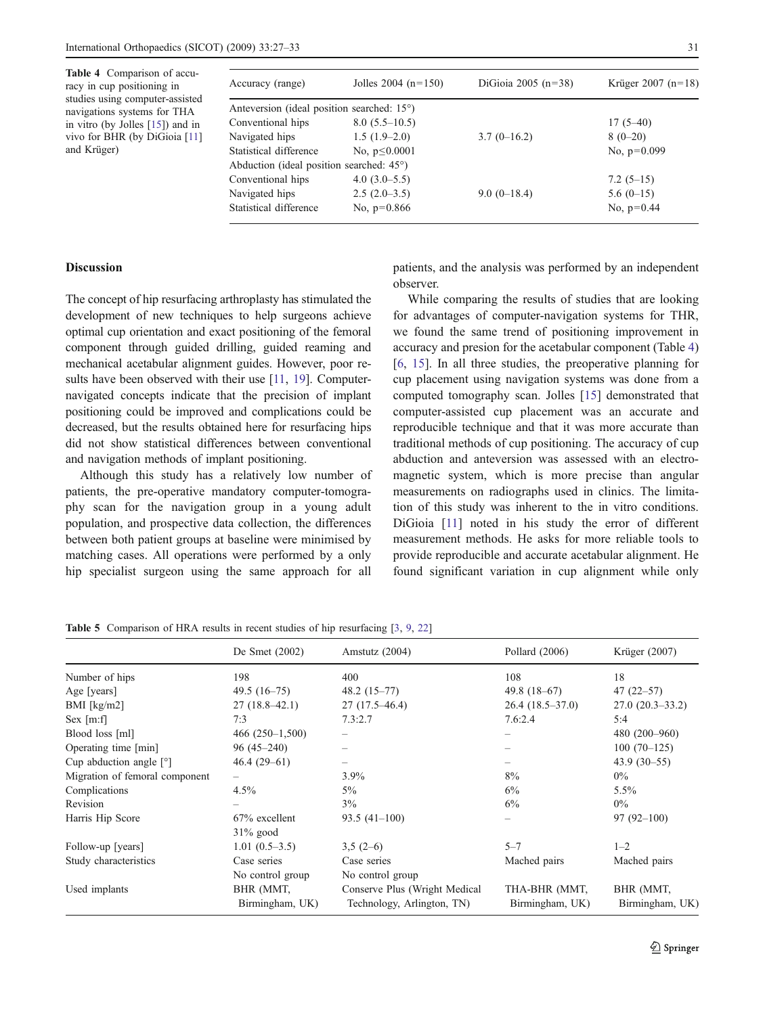<span id="page-4-0"></span>Table 4 Comparison of accuracy in cup positioning in

| <b>Table 4</b> Comparison of accu-<br>racy in cup positioning in<br>studies using computer-assisted<br>navigations systems for THA | Accuracy (range)                                        | Jolles 2004 ( $n=150$ ) | DiGioia 2005 ( $n=38$ ) | Krüger 2007 ( $n=18$ ) |  |
|------------------------------------------------------------------------------------------------------------------------------------|---------------------------------------------------------|-------------------------|-------------------------|------------------------|--|
|                                                                                                                                    | Anteversion (ideal position searched: 15 <sup>o</sup> ) |                         |                         |                        |  |
| in vitro (by Jolles $[15]$ ) and in                                                                                                | Conventional hips                                       | $8.0(5.5-10.5)$         |                         | $17(5-40)$             |  |
| vivo for BHR (by DiGioia [11]                                                                                                      | Navigated hips                                          | $1.5(1.9-2.0)$          | $3.7(0-16.2)$           | $8(0-20)$              |  |
| and Krüger)                                                                                                                        | Statistical difference                                  | No, $p \le 0.0001$      |                         | No, $p=0.099$          |  |
|                                                                                                                                    | Abduction (ideal position searched: 45°)                |                         |                         |                        |  |
|                                                                                                                                    | Conventional hips                                       | $4.0(3.0-5.5)$          |                         | $7.2(5-15)$            |  |
|                                                                                                                                    | Navigated hips                                          | $2.5(2.0-3.5)$          | $9.0(0-18.4)$           | $5.6(0-15)$            |  |
|                                                                                                                                    | Statistical difference                                  | No, $p=0.866$           |                         | No, $p=0.44$           |  |
|                                                                                                                                    |                                                         |                         |                         |                        |  |

## Discussion

The concept of hip resurfacing arthroplasty has stimulated the development of new techniques to help surgeons achieve optimal cup orientation and exact positioning of the femoral component through guided drilling, guided reaming and mechanical acetabular alignment guides. However, poor re-sults have been observed with their use [[11](#page-5-0), [19\]](#page-6-0). Computernavigated concepts indicate that the precision of implant positioning could be improved and complications could be decreased, but the results obtained here for resurfacing hips did not show statistical differences between conventional and navigation methods of implant positioning.

Although this study has a relatively low number of patients, the pre-operative mandatory computer-tomography scan for the navigation group in a young adult population, and prospective data collection, the differences between both patient groups at baseline were minimised by matching cases. All operations were performed by a only hip specialist surgeon using the same approach for all

patients, and the analysis was performed by an independent observer.

While comparing the results of studies that are looking for advantages of computer-navigation systems for THR, we found the same trend of positioning improvement in accuracy and presion for the acetabular component (Table 4) [\[6](#page-5-0), [15\]](#page-5-0). In all three studies, the preoperative planning for cup placement using navigation systems was done from a computed tomography scan. Jolles [[15\]](#page-5-0) demonstrated that computer-assisted cup placement was an accurate and reproducible technique and that it was more accurate than traditional methods of cup positioning. The accuracy of cup abduction and anteversion was assessed with an electromagnetic system, which is more precise than angular measurements on radiographs used in clinics. The limitation of this study was inherent to the in vitro conditions. DiGioia [\[11\]](#page-5-0) noted in his study the error of different measurement methods. He asks for more reliable tools to provide reproducible and accurate acetabular alignment. He found significant variation in cup alignment while only

|                                           | De Smet (2002)                  | Amstutz $(2004)$                                            | Pollard (2006)                   | Krüger (2007)                |
|-------------------------------------------|---------------------------------|-------------------------------------------------------------|----------------------------------|------------------------------|
| Number of hips                            | 198                             | 400                                                         | 108                              | 18                           |
| Age [years]                               | 49.5 $(16-75)$                  | $48.2(15-77)$                                               | $49.8(18-67)$                    | $47(22 - 57)$                |
| BMI $[kg/m2]$                             | $27(18.8-42.1)$                 | $27(17.5-46.4)$                                             | $26.4(18.5-37.0)$                | $27.0(20.3-33.2)$            |
| Sex $[m: f]$                              | 7:3                             | 7.3:2.7                                                     | 7.6:2.4                          | 5:4                          |
| Blood loss [ml]                           | $466(250-1,500)$                |                                                             |                                  | 480 (200-960)                |
| Operating time [min]                      | $96(45 - 240)$                  |                                                             |                                  | $100(70-125)$                |
| Cup abduction angle $\lceil \circ \rceil$ | $46.4(29-61)$                   |                                                             |                                  | $43.9(30-55)$                |
| Migration of femoral component            |                                 | $3.9\%$                                                     | 8%                               | $0\%$                        |
| Complications                             | $4.5\%$                         | $5\%$                                                       | 6%                               | $5.5\%$                      |
| Revision                                  |                                 | $3\%$                                                       | 6%                               | $0\%$                        |
| Harris Hip Score                          | 67% excellent<br>$31\%$ good    | $93.5(41-100)$                                              |                                  | $97(92 - 100)$               |
| Follow-up [years]                         | $1.01(0.5-3.5)$                 | $3,5(2-6)$                                                  | $5 - 7$                          | $1 - 2$                      |
| Study characteristics                     | Case series<br>No control group | Case series<br>No control group                             | Mached pairs                     | Mached pairs                 |
| Used implants                             | BHR (MMT,<br>Birmingham, UK)    | Conserve Plus (Wright Medical<br>Technology, Arlington, TN) | THA-BHR (MMT,<br>Birmingham, UK) | BHR (MMT,<br>Birmingham, UK) |

Table 5 Comparison of HRA results in recent studies of hip resurfacing [\[3](#page-5-0), [9](#page-5-0), [22\]](#page-6-0)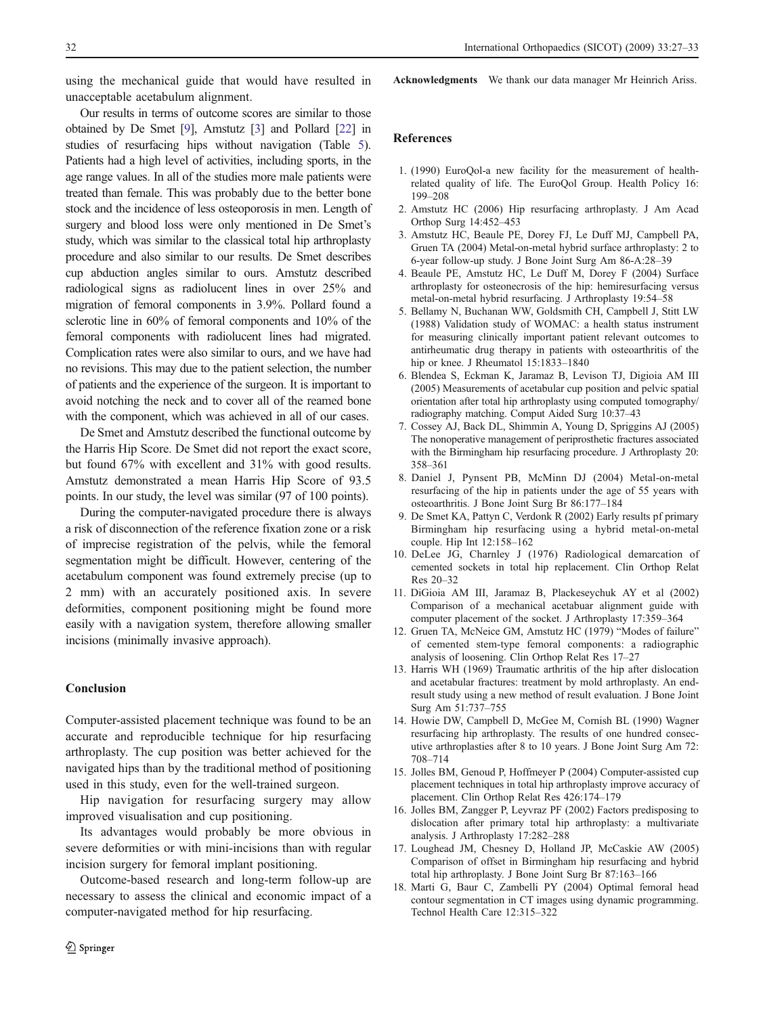<span id="page-5-0"></span>using the mechanical guide that would have resulted in unacceptable acetabulum alignment.

Our results in terms of outcome scores are similar to those obtained by De Smet [9], Amstutz [3] and Pollard [\[22\]](#page-6-0) in studies of resurfacing hips without navigation (Table [5\)](#page-4-0). Patients had a high level of activities, including sports, in the age range values. In all of the studies more male patients were treated than female. This was probably due to the better bone stock and the incidence of less osteoporosis in men. Length of surgery and blood loss were only mentioned in De Smet's study, which was similar to the classical total hip arthroplasty procedure and also similar to our results. De Smet describes cup abduction angles similar to ours. Amstutz described radiological signs as radiolucent lines in over 25% and migration of femoral components in 3.9%. Pollard found a sclerotic line in 60% of femoral components and 10% of the femoral components with radiolucent lines had migrated. Complication rates were also similar to ours, and we have had no revisions. This may due to the patient selection, the number of patients and the experience of the surgeon. It is important to avoid notching the neck and to cover all of the reamed bone with the component, which was achieved in all of our cases.

De Smet and Amstutz described the functional outcome by the Harris Hip Score. De Smet did not report the exact score, but found 67% with excellent and 31% with good results. Amstutz demonstrated a mean Harris Hip Score of 93.5 points. In our study, the level was similar (97 of 100 points).

During the computer-navigated procedure there is always a risk of disconnection of the reference fixation zone or a risk of imprecise registration of the pelvis, while the femoral segmentation might be difficult. However, centering of the acetabulum component was found extremely precise (up to 2 mm) with an accurately positioned axis. In severe deformities, component positioning might be found more easily with a navigation system, therefore allowing smaller incisions (minimally invasive approach).

## Conclusion

Computer-assisted placement technique was found to be an accurate and reproducible technique for hip resurfacing arthroplasty. The cup position was better achieved for the navigated hips than by the traditional method of positioning used in this study, even for the well-trained surgeon.

Hip navigation for resurfacing surgery may allow improved visualisation and cup positioning.

Its advantages would probably be more obvious in severe deformities or with mini-incisions than with regular incision surgery for femoral implant positioning.

Outcome-based research and long-term follow-up are necessary to assess the clinical and economic impact of a computer-navigated method for hip resurfacing.

Acknowledgments We thank our data manager Mr Heinrich Ariss.

## References

- 1. (1990) EuroQol-a new facility for the measurement of healthrelated quality of life. The EuroQol Group. Health Policy 16: 199–208
- 2. Amstutz HC (2006) Hip resurfacing arthroplasty. J Am Acad Orthop Surg 14:452–453
- 3. Amstutz HC, Beaule PE, Dorey FJ, Le Duff MJ, Campbell PA, Gruen TA (2004) Metal-on-metal hybrid surface arthroplasty: 2 to 6-year follow-up study. J Bone Joint Surg Am 86-A:28–39
- 4. Beaule PE, Amstutz HC, Le Duff M, Dorey F (2004) Surface arthroplasty for osteonecrosis of the hip: hemiresurfacing versus metal-on-metal hybrid resurfacing. J Arthroplasty 19:54–58
- 5. Bellamy N, Buchanan WW, Goldsmith CH, Campbell J, Stitt LW (1988) Validation study of WOMAC: a health status instrument for measuring clinically important patient relevant outcomes to antirheumatic drug therapy in patients with osteoarthritis of the hip or knee. J Rheumatol 15:1833-1840
- 6. Blendea S, Eckman K, Jaramaz B, Levison TJ, Digioia AM III (2005) Measurements of acetabular cup position and pelvic spatial orientation after total hip arthroplasty using computed tomography/ radiography matching. Comput Aided Surg 10:37–43
- 7. Cossey AJ, Back DL, Shimmin A, Young D, Spriggins AJ (2005) The nonoperative management of periprosthetic fractures associated with the Birmingham hip resurfacing procedure. J Arthroplasty 20: 358–361
- 8. Daniel J, Pynsent PB, McMinn DJ (2004) Metal-on-metal resurfacing of the hip in patients under the age of 55 years with osteoarthritis. J Bone Joint Surg Br 86:177–184
- 9. De Smet KA, Pattyn C, Verdonk R (2002) Early results pf primary Birmingham hip resurfacing using a hybrid metal-on-metal couple. Hip Int 12:158–162
- 10. DeLee JG, Charnley J (1976) Radiological demarcation of cemented sockets in total hip replacement. Clin Orthop Relat Res 20–32
- 11. DiGioia AM III, Jaramaz B, Plackeseychuk AY et al (2002) Comparison of a mechanical acetabuar alignment guide with computer placement of the socket. J Arthroplasty 17:359–364
- 12. Gruen TA, McNeice GM, Amstutz HC (1979) "Modes of failure" of cemented stem-type femoral components: a radiographic analysis of loosening. Clin Orthop Relat Res 17–27
- 13. Harris WH (1969) Traumatic arthritis of the hip after dislocation and acetabular fractures: treatment by mold arthroplasty. An endresult study using a new method of result evaluation. J Bone Joint Surg Am 51:737–755
- 14. Howie DW, Campbell D, McGee M, Cornish BL (1990) Wagner resurfacing hip arthroplasty. The results of one hundred consecutive arthroplasties after 8 to 10 years. J Bone Joint Surg Am 72: 708–714
- 15. Jolles BM, Genoud P, Hoffmeyer P (2004) Computer-assisted cup placement techniques in total hip arthroplasty improve accuracy of placement. Clin Orthop Relat Res 426:174–179
- 16. Jolles BM, Zangger P, Leyvraz PF (2002) Factors predisposing to dislocation after primary total hip arthroplasty: a multivariate analysis. J Arthroplasty 17:282–288
- 17. Loughead JM, Chesney D, Holland JP, McCaskie AW (2005) Comparison of offset in Birmingham hip resurfacing and hybrid total hip arthroplasty. J Bone Joint Surg Br 87:163–166
- 18. Marti G, Baur C, Zambelli PY (2004) Optimal femoral head contour segmentation in CT images using dynamic programming. Technol Health Care 12:315–322